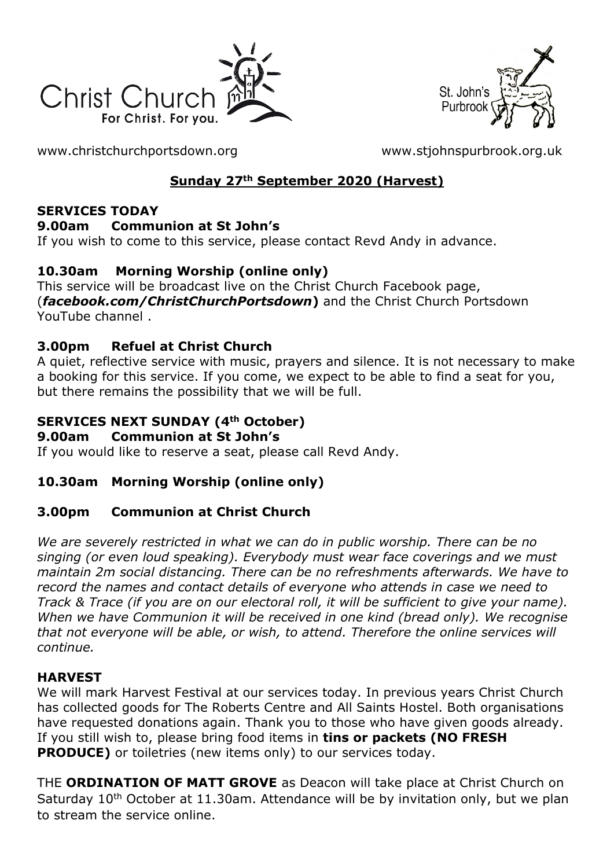



[www.christchurchportsdown.org](http://www.christchurchportsdown.org/) [www.stjohnspurbrook.org.uk](http://www.stjohnspurbrook.org.uk/)

# **Sunday 27th September 2020 (Harvest)**

#### **SERVICES TODAY**

### **9.00am Communion at St John's**

If you wish to come to this service, please contact Revd Andy in advance.

# **10.30am Morning Worship (online only)**

This service will be broadcast live on the Christ Church Facebook page, (*[facebook.com/ChristChurchPortsdown](http://www.facebook.com/ChristChurchPortsdown%20at%2010.30)***)** and the Christ Church Portsdown [YouTube channel](http://www.facebook.com/ChristChurchPortsdown%20at%2010.30) .

# **3.00pm Refuel at Christ Church**

A quiet, reflective service with music, prayers and silence. It is not necessary to make a booking for this service. If you come, we expect to be able to find a seat for you, but there remains the possibility that we will be full.

# **SERVICES NEXT SUNDAY (4th October)**

#### **9.00am Communion at St John's**

If you would like to reserve a seat, please call Revd Andy.

## **10.30am Morning Worship (online only)**

## **3.00pm Communion at Christ Church**

*We are severely restricted in what we can do in public worship. There can be no singing (or even loud speaking). Everybody must wear face coverings and we must maintain 2m social distancing. There can be no refreshments afterwards. We have to record the names and contact details of everyone who attends in case we need to Track & Trace (if you are on our electoral roll, it will be sufficient to give your name). When we have Communion it will be received in one kind (bread only). We recognise that not everyone will be able, or wish, to attend. Therefore the online services will continue.*

## **HARVEST**

We will mark Harvest Festival at our services today. In previous years Christ Church has collected goods for The Roberts Centre and All Saints Hostel. Both organisations have requested donations again. Thank you to those who have given goods already. If you still wish to, please bring food items in **tins or packets (NO FRESH PRODUCE)** or toiletries (new items only) to our services today.

THE **ORDINATION OF MATT GROVE** as Deacon will take place at Christ Church on Saturday  $10<sup>th</sup>$  October at 11.30am. Attendance will be by invitation only, but we plan to stream the service online.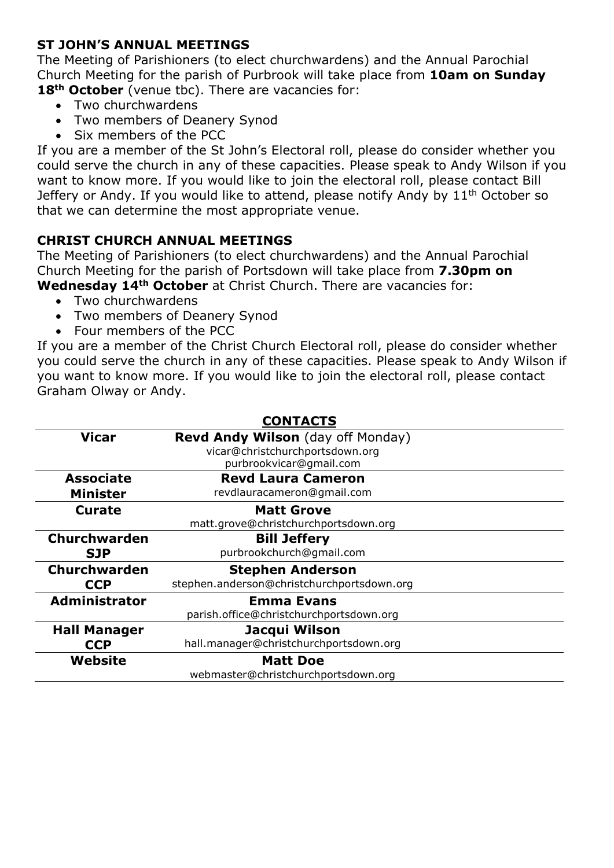### **ST JOHN'S ANNUAL MEETINGS**

The Meeting of Parishioners (to elect churchwardens) and the Annual Parochial Church Meeting for the parish of Purbrook will take place from **10am on Sunday**  18<sup>th</sup> October (venue tbc). There are vacancies for:

- Two churchwardens
- Two members of Deanery Synod
- Six members of the PCC

If you are a member of the St John's Electoral roll, please do consider whether you could serve the church in any of these capacities. Please speak to Andy Wilson if you want to know more. If you would like to join the electoral roll, please contact Bill Jeffery or Andy. If you would like to attend, please notify Andy by 11<sup>th</sup> October so that we can determine the most appropriate venue.

#### **CHRIST CHURCH ANNUAL MEETINGS**

The Meeting of Parishioners (to elect churchwardens) and the Annual Parochial Church Meeting for the parish of Portsdown will take place from **7.30pm on Wednesday 14th October** at Christ Church. There are vacancies for:

- Two churchwardens
- Two members of Deanery Synod
- Four members of the PCC

If you are a member of the Christ Church Electoral roll, please do consider whether you could serve the church in any of these capacities. Please speak to Andy Wilson if you want to know more. If you would like to join the electoral roll, please contact Graham Olway or Andy.

| <b>CONTACTS</b>      |                                                            |
|----------------------|------------------------------------------------------------|
| <b>Vicar</b>         | Revd Andy Wilson (day off Monday)                          |
|                      | vicar@christchurchportsdown.org<br>purbrookvicar@gmail.com |
| <b>Associate</b>     | <b>Revd Laura Cameron</b>                                  |
| <b>Minister</b>      | revdlauracameron@gmail.com                                 |
| <b>Curate</b>        | <b>Matt Grove</b>                                          |
|                      | matt.grove@christchurchportsdown.org                       |
| <b>Churchwarden</b>  | <b>Bill Jeffery</b>                                        |
| <b>SJP</b>           | purbrookchurch@gmail.com                                   |
| Churchwarden         | <b>Stephen Anderson</b>                                    |
| <b>CCP</b>           | stephen.anderson@christchurchportsdown.org                 |
| <b>Administrator</b> | <b>Emma Evans</b>                                          |
|                      | parish.office@christchurchportsdown.org                    |
| <b>Hall Manager</b>  | Jacqui Wilson                                              |
| <b>CCP</b>           | hall.manager@christchurchportsdown.org                     |
| Website              | <b>Matt Doe</b>                                            |
|                      | webmaster@christchurchportsdown.org                        |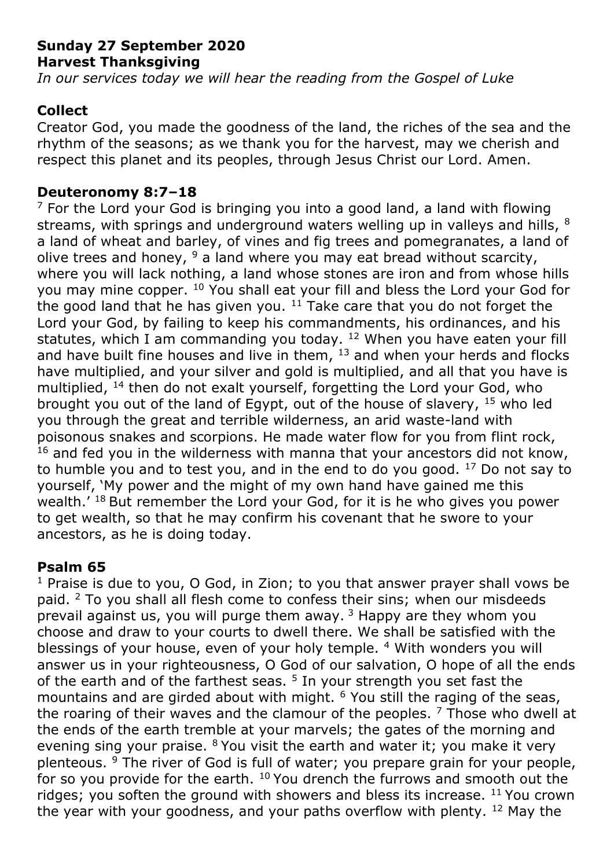## **Sunday 27 September 2020 Harvest Thanksgiving**

*In our services today we will hear the reading from the Gospel of Luke*

# **Collect**

Creator God, you made the goodness of the land, the riches of the sea and the rhythm of the seasons; as we thank you for the harvest, may we cherish and respect this planet and its peoples, through Jesus Christ our Lord. Amen.

### **Deuteronomy 8:7–18**

 $<sup>7</sup>$  For the Lord your God is bringing you into a good land, a land with flowing</sup> streams, with springs and underground waters welling up in valleys and hills, 8 a land of wheat and barley, of vines and fig trees and pomegranates, a land of olive trees and honey,  $9$  a land where you may eat bread without scarcity, where you will lack nothing, a land whose stones are iron and from whose hills you may mine copper. <sup>10</sup> You shall eat your fill and bless the Lord your God for the good land that he has given you.  $11$  Take care that you do not forget the Lord your God, by failing to keep his commandments, his ordinances, and his statutes, which I am commanding you today.  $12$  When you have eaten your fill and have built fine houses and live in them,  $13$  and when your herds and flocks have multiplied, and your silver and gold is multiplied, and all that you have is multiplied, <sup>14</sup> then do not exalt yourself, forgetting the Lord your God, who brought you out of the land of Egypt, out of the house of slavery, <sup>15</sup> who led you through the great and terrible wilderness, an arid waste-land with poisonous snakes and scorpions. He made water flow for you from flint rock,  $16$  and fed you in the wilderness with manna that your ancestors did not know, to humble you and to test you, and in the end to do you good. <sup>17</sup> Do not say to yourself, 'My power and the might of my own hand have gained me this wealth.' <sup>18</sup> But remember the Lord your God, for it is he who gives you power to get wealth, so that he may confirm his covenant that he swore to your ancestors, as he is doing today.

## **Psalm 65**

 $1$  Praise is due to you, O God, in Zion; to you that answer prayer shall vows be paid. <sup>2</sup> To you shall all flesh come to confess their sins; when our misdeeds prevail against us, you will purge them away.  $3$  Happy are they whom you choose and draw to your courts to dwell there. We shall be satisfied with the blessings of your house, even of your holy temple. 4 With wonders you will answer us in your righteousness, O God of our salvation, O hope of all the ends of the earth and of the farthest seas.  $5$  In your strength you set fast the mountains and are girded about with might. <sup>6</sup> You still the raging of the seas, the roaring of their waves and the clamour of the peoples.  $<sup>7</sup>$  Those who dwell at</sup> the ends of the earth tremble at your marvels; the gates of the morning and evening sing your praise.  $8$  You visit the earth and water it; you make it very plenteous. <sup>9</sup> The river of God is full of water; you prepare grain for your people, for so you provide for the earth.  $10$  You drench the furrows and smooth out the ridges; you soften the ground with showers and bless its increase.  $11$  You crown the year with your goodness, and your paths overflow with plenty. <sup>12</sup> May the